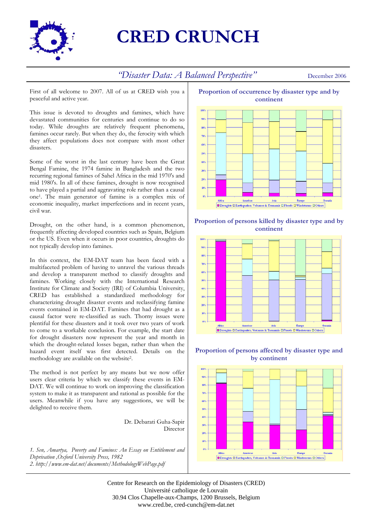

## **CRED CRUNCH**

## *"Disaster Data: A Balanced Perspective"* December 2006

First of all welcome to 2007. All of us at CRED wish you a peaceful and active year.

This issue is devoted to droughts and famines, which have devastated communities for centuries and continue to do so today. While droughts are relatively frequent phenomena, famines occur rarely. But when they do, the ferocity with which they affect populations does not compare with most other disasters.

Some of the worst in the last century have been the Great Bengal Famine, the 1974 famine in Bangladesh and the two recurring regional famines of Sahel Africa in the mid 1970's and mid 1980's. In all of these famines, drought is now recognised to have played a partial and aggravating role rather than a causal one1. The main generator of famine is a complex mix of economic inequality, market imperfections and in recent years, civil war.

Drought, on the other hand, is a common phenomenon, frequently affecting developed countries such as Spain, Belgium or the US. Even when it occurs in poor countries, droughts do not typically develop into famines.

In this context, the EM-DAT team has been faced with a multifaceted problem of having to unravel the various threads and develop a transparent method to classify droughts and famines. Working closely with the International Research Institute for Climate and Society (IRI) of Columbia University, CRED has established a standardized methodology for characterizing drought disaster events and reclassifying famine events contained in EM-DAT. Famines that had drought as a causal factor were re-classified as such. Thorny issues were plentiful for these disasters and it took over two years of work to come to a workable conclusion. For example, the start date for drought disasters now represent the year and month in which the drought-related losses began, rather than when the hazard event itself was first detected. Details on the methodology are available on the website2.

The method is not perfect by any means but we now offer users clear criteria by which we classify these events in EM-DAT. We will continue to work on improving the classification system to make it as transparent and rational as possible for the users. Meanwhile if you have any suggestions, we will be delighted to receive them.

Dr. Debarati Guha-Sapir Director

*1. Sen, Amartya, Poverty and Famines: An Essay on Entitlement and Deprivation ,Oxford University Press, 1982 2. http://www.em-dat.net/documents/MethodologyWebPage.pdf*



**Proportion of persons killed by disaster type and by continent** 



**Proportion of persons affected by disaster type and by continent** 



Centre for Research on the Epidemiology of Disasters (CRED) Université catholique de Louvain 30.94 Clos Chapelle-aux-Champs, 1200 Brussels, Belgium www.cred.be, cred-cunch@em-dat.net